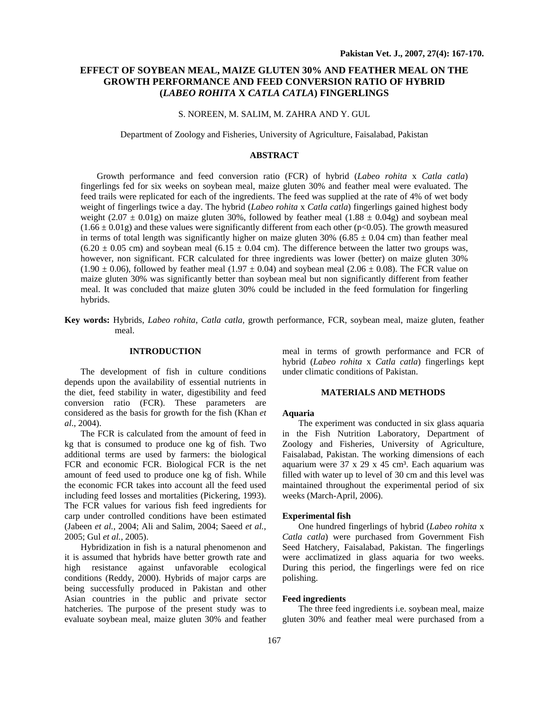# **EFFECT OF SOYBEAN MEAL, MAIZE GLUTEN 30% AND FEATHER MEAL ON THE GROWTH PERFORMANCE AND FEED CONVERSION RATIO OF HYBRID (***LABEO ROHITA* **X** *CATLA CATLA***) FINGERLINGS**

## S. NOREEN, M. SALIM, M. ZAHRA AND Y. GUL

Department of Zoology and Fisheries, University of Agriculture, Faisalabad, Pakistan

#### **ABSTRACT**

Growth performance and feed conversion ratio (FCR) of hybrid (*Labeo rohita* x *Catla catla*) fingerlings fed for six weeks on soybean meal, maize gluten 30% and feather meal were evaluated. The feed trails were replicated for each of the ingredients. The feed was supplied at the rate of 4% of wet body weight of fingerlings twice a day. The hybrid (*Labeo rohita* x *Catla catla*) fingerlings gained highest body weight  $(2.07 \pm 0.01g)$  on maize gluten 30%, followed by feather meal  $(1.88 \pm 0.04g)$  and soybean meal  $(1.66 \pm 0.01$ g) and these values were significantly different from each other (p<0.05). The growth measured in terms of total length was significantly higher on maize gluten 30% (6.85  $\pm$  0.04 cm) than feather meal  $(6.20 \pm 0.05 \text{ cm})$  and soybean meal  $(6.15 \pm 0.04 \text{ cm})$ . The difference between the latter two groups was, however, non significant. FCR calculated for three ingredients was lower (better) on maize gluten 30%  $(1.90 \pm 0.06)$ , followed by feather meal  $(1.97 \pm 0.04)$  and soybean meal  $(2.06 \pm 0.08)$ . The FCR value on maize gluten 30% was significantly better than soybean meal but non significantly different from feather meal. It was concluded that maize gluten 30% could be included in the feed formulation for fingerling hybrids.

**Key words:** Hybrids, *Labeo rohita, Catla catla,* growth performance, FCR, soybean meal, maize gluten, feather meal.

## **INTRODUCTION**

The development of fish in culture conditions depends upon the availability of essential nutrients in the diet, feed stability in water, digestibility and feed conversion ratio (FCR). These parameters are considered as the basis for growth for the fish (Khan *et al*., 2004).

The FCR is calculated from the amount of feed in kg that is consumed to produce one kg of fish. Two additional terms are used by farmers: the biological FCR and economic FCR. Biological FCR is the net amount of feed used to produce one kg of fish. While the economic FCR takes into account all the feed used including feed losses and mortalities (Pickering, 1993). The FCR values for various fish feed ingredients for carp under controlled conditions have been estimated (Jabeen *et al.*, 2004; Ali and Salim, 2004; Saeed *et al.*, 2005; Gul *et al.*, 2005).

Hybridization in fish is a natural phenomenon and it is assumed that hybrids have better growth rate and high resistance against unfavorable ecological conditions (Reddy, 2000). Hybrids of major carps are being successfully produced in Pakistan and other Asian countries in the public and private sector hatcheries. The purpose of the present study was to evaluate soybean meal, maize gluten 30% and feather

meal in terms of growth performance and FCR of hybrid (*Labeo rohita* x *Catla catla*) fingerlings kept under climatic conditions of Pakistan.

#### **MATERIALS AND METHODS**

#### **Aquaria**

The experiment was conducted in six glass aquaria in the Fish Nutrition Laboratory, Department of Zoology and Fisheries, University of Agriculture, Faisalabad, Pakistan. The working dimensions of each aquarium were  $37 \times 29 \times 45$  cm<sup>3</sup>. Each aquarium was filled with water up to level of 30 cm and this level was maintained throughout the experimental period of six weeks (March-April, 2006).

#### **Experimental fish**

One hundred fingerlings of hybrid (*Labeo rohita* x *Catla catla*) were purchased from Government Fish Seed Hatchery, Faisalabad, Pakistan. The fingerlings were acclimatized in glass aquaria for two weeks. During this period, the fingerlings were fed on rice polishing.

### **Feed ingredients**

The three feed ingredients i.e. soybean meal, maize gluten 30% and feather meal were purchased from a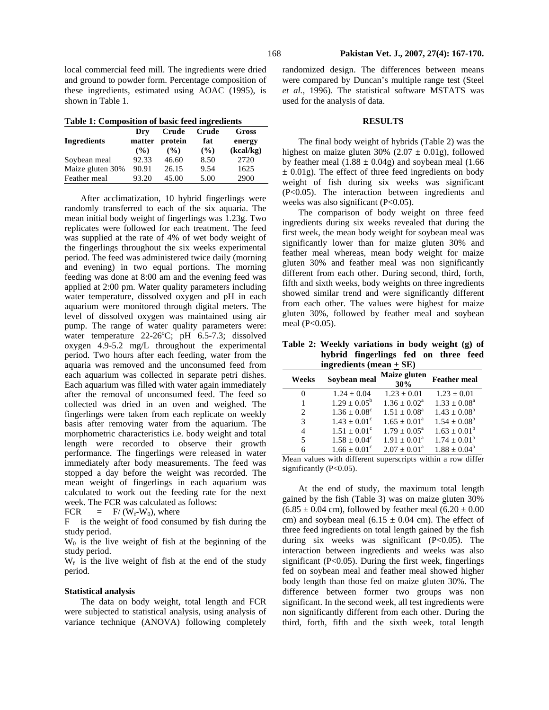local commercial feed mill. The ingredients were dried and ground to powder form. Percentage composition of these ingredients, estimated using AOAC (1995), is shown in Table 1.

| Table 1: Composition of basic feed ingredients |  |  |  |  |
|------------------------------------------------|--|--|--|--|
|                                                |  |  |  |  |

| <b>Ingredients</b> | Drv<br>matter<br>$($ %) | Crude<br>protein<br>$($ %) | Crude<br>fat<br>$\frac{9}{6}$ | Gross<br>energy<br>(kcal/kg) |
|--------------------|-------------------------|----------------------------|-------------------------------|------------------------------|
| Soybean meal       | 92.33                   | 46.60                      | 8.50                          | 2720                         |
| Maize gluten 30%   | 90.91                   | 26.15                      | 9.54                          | 1625                         |
| Feather meal       | 93.20                   | 45.00                      | 5.00                          | 2900                         |

After acclimatization, 10 hybrid fingerlings were randomly transferred to each of the six aquaria. The mean initial body weight of fingerlings was 1.23g. Two replicates were followed for each treatment. The feed was supplied at the rate of 4% of wet body weight of the fingerlings throughout the six weeks experimental period. The feed was administered twice daily (morning and evening) in two equal portions. The morning feeding was done at 8:00 am and the evening feed was applied at 2:00 pm. Water quality parameters including water temperature, dissolved oxygen and pH in each aquarium were monitored through digital meters. The level of dissolved oxygen was maintained using air pump. The range of water quality parameters were: water temperature  $22\n-26^\circ\text{C}$ ; pH 6.5-7.3; dissolved oxygen 4.9-5.2 mg/L throughout the experimental period. Two hours after each feeding, water from the aquaria was removed and the unconsumed feed from each aquarium was collected in separate petri dishes. Each aquarium was filled with water again immediately after the removal of unconsumed feed. The feed so collected was dried in an oven and weighed. The fingerlings were taken from each replicate on weekly basis after removing water from the aquarium. The morphometric characteristics i.e. body weight and total length were recorded to observe their growth performance. The fingerlings were released in water immediately after body measurements. The feed was stopped a day before the weight was recorded. The mean weight of fingerlings in each aquarium was calculated to work out the feeding rate for the next week. The FCR was calculated as follows:

FCR = F/  $(W_f-W_0)$ , where

F is the weight of food consumed by fish during the study period.

 $W_0$  is the live weight of fish at the beginning of the study period.

 $W_f$  is the live weight of fish at the end of the study period.

#### **Statistical analysis**

The data on body weight, total length and FCR were subjected to statistical analysis, using analysis of variance technique (ANOVA) following completely

randomized design. The differences between means were compared by Duncan's multiple range test (Steel *et al.,* 1996). The statistical software MSTATS was used for the analysis of data.

#### **RESULTS**

The final body weight of hybrids (Table 2) was the highest on maize gluten 30% (2.07  $\pm$  0.01g), followed by feather meal  $(1.88 \pm 0.04g)$  and soybean meal  $(1.66$  $\pm$  0.01g). The effect of three feed ingredients on body weight of fish during six weeks was significant (P<0.05). The interaction between ingredients and weeks was also significant (P<0.05).

The comparison of body weight on three feed ingredients during six weeks revealed that during the first week, the mean body weight for soybean meal was significantly lower than for maize gluten 30% and feather meal whereas, mean body weight for maize gluten 30% and feather meal was non significantly different from each other. During second, third, forth, fifth and sixth weeks, body weights on three ingredients showed similar trend and were significantly different from each other. The values were highest for maize gluten 30%, followed by feather meal and soybean meal (P<0.05).

**Table 2: Weekly variations in body weight (g) of hybrid fingerlings fed on three feed ingredients (mean + SE)** 

| Weeks                       | Soybean meal            | Maize gluten<br>30%     | <b>Feather meal</b>        |
|-----------------------------|-------------------------|-------------------------|----------------------------|
| 0                           | $1.24 + 0.04$           | $1.23 + 0.01$           | $1.23 + 0.01$              |
| 1                           | $1.29 \pm 0.05^b$       | $1.36 + 0.02^a$         | $1.33 \pm 0.08^{\text{a}}$ |
| $\mathcal{D}_{\mathcal{A}}$ | $1.36 \pm 0.08^{\circ}$ | $1.51 + 0.08^a$         | $1.43 \pm 0.08^b$          |
| 3                           | $1.43 + 0.01^{\circ}$   | $1.65 \pm 0.01^a$       | $1.54 + 0.08^b$            |
| 4                           | $1.51 \pm 0.01^{\circ}$ | $1.79 \pm 0.05^{\circ}$ | $1.63 \pm 0.01^b$          |
| 5                           | $1.58 \pm 0.04^c$       | $1.91 + 0.01^a$         | $1.74 \pm 0.01^{\rm b}$    |
| 6                           | $1.66 \pm 0.01^{\circ}$ | $2.07 \pm 0.01^a$       | $1.88 + 0.04^b$            |

Mean values with different superscripts within a row differ significantly (P<0.05).

At the end of study, the maximum total length gained by the fish (Table 3) was on maize gluten 30%  $(6.85 \pm 0.04 \text{ cm})$ , followed by feather meal  $(6.20 \pm 0.00 \text{ s})$ cm) and soybean meal  $(6.15 \pm 0.04 \text{ cm})$ . The effect of three feed ingredients on total length gained by the fish during six weeks was significant (P<0.05). The interaction between ingredients and weeks was also significant ( $P<0.05$ ). During the first week, fingerlings fed on soybean meal and feather meal showed higher body length than those fed on maize gluten 30%. The difference between former two groups was non significant. In the second week, all test ingredients were non significantly different from each other. During the third, forth, fifth and the sixth week, total length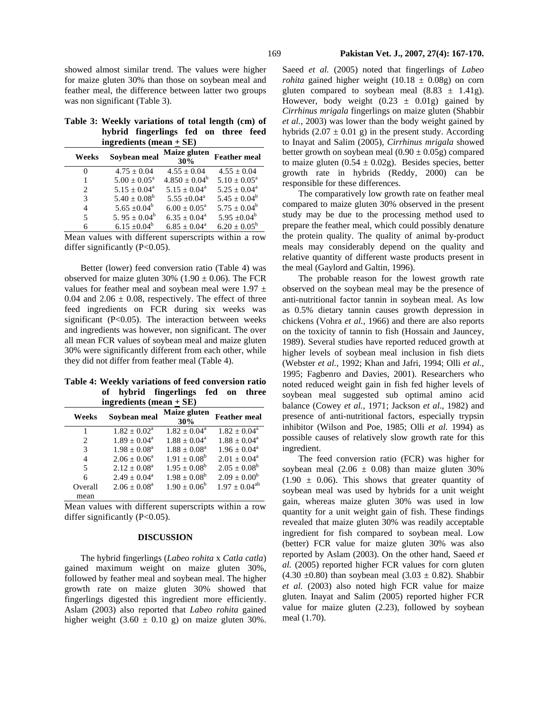showed almost similar trend. The values were higher for maize gluten 30% than those on soybean meal and feather meal, the difference between latter two groups was non significant (Table 3).

|  | Table 3: Weekly variations of total length (cm) of |  |  |
|--|----------------------------------------------------|--|--|
|  | hybrid fingerlings fed on three feed               |  |  |
|  | ingredients (mean $\pm$ SE)                        |  |  |

| Weeks | Soybean meal                 | Maize gluten<br>30%      | <b>Feather meal</b>      |  |  |
|-------|------------------------------|--------------------------|--------------------------|--|--|
|       | $4.75 + 0.04$                | $4.55 \pm 0.04$          | $4.55 \pm 0.04$          |  |  |
|       | $5.00 \pm 0.05^{\text{a}}$   | $4.850 + 0.04^b$         | $5.10 + 0.05^{\text{a}}$ |  |  |
| 2     | $5.15 + 0.04^a$              | $5.15 \pm 0.04^{\circ}$  | $5.25 + 0.04^a$          |  |  |
| 3     | $5.40 \pm 0.08^b$            | $5.55 + 0.04^a$          | $5.45 \pm 0.04^b$        |  |  |
| 4     | $5.65 + 0.04^b$              | $6.00 + 0.05^{\text{a}}$ | $5.75 \pm 0.04^b$        |  |  |
| 5     | 5.95 $\pm$ 0.04 <sup>b</sup> | $6.35 + 0.04^a$          | 5.95 $\pm 0.04^b$        |  |  |
| 6     | $6.15 \pm 0.04^b$            | $6.85 + 0.04^a$          | $6.20 \pm 0.05^b$        |  |  |

Mean values with different superscripts within a row differ significantly (P<0.05).

Better (lower) feed conversion ratio (Table 4) was observed for maize gluten 30% (1.90  $\pm$  0.06). The FCR values for feather meal and soybean meal were  $1.97 \pm$ 0.04 and  $2.06 \pm 0.08$ , respectively. The effect of three feed ingredients on FCR during six weeks was significant (P<0.05). The interaction between weeks and ingredients was however, non significant. The over all mean FCR values of soybean meal and maize gluten 30% were significantly different from each other, while they did not differ from feather meal (Table 4).

**Table 4: Weekly variations of feed conversion ratio of hybrid fingerlings fed on three ingredients (mean + SE)** 

| Weeks   | Soybean meal               | Maize gluten<br>30% | <b>Feather meal</b>     |  |
|---------|----------------------------|---------------------|-------------------------|--|
|         | $1.82 + 0.02^a$            | $1.82 + 0.04^a$     | $1.82 + 0.04^a$         |  |
| 2       | $1.89 \pm 0.04^{\text{a}}$ | $1.88 + 0.04^a$     | $1.88 + 0.04^a$         |  |
| 3       | $1.98 + 0.08^a$            | $1.88 + 0.08^a$     | $1.96 \pm 0.04^{\circ}$ |  |
| 4       | $2.06 + 0.06^a$            | $1.91 \pm 0.08^b$   | $2.01 + 0.04^a$         |  |
| 5       | $2.12 + 0.08^a$            | $1.95 + 0.08^b$     | $2.05 + 0.08^b$         |  |
| 6       | $2.49 + 0.04^a$            | $1.98 + 0.08^b$     | $2.09 \pm 0.00^b$       |  |
| Overall | $2.06 \pm 0.08^a$          | $1.90 + 0.06^b$     | $1.97 + 0.04^{ab}$      |  |
| mean    |                            |                     |                         |  |

Mean values with different superscripts within a row differ significantly (P<0.05).

## **DISCUSSION**

The hybrid fingerlings (*Labeo rohita* x *Catla catla*) gained maximum weight on maize gluten 30%, followed by feather meal and soybean meal. The higher growth rate on maize gluten 30% showed that fingerlings digested this ingredient more efficiently. Aslam (2003) also reported that *Labeo rohita* gained higher weight  $(3.60 \pm 0.10 \text{ g})$  on maize gluten 30%. Saeed *et al.* (2005) noted that fingerlings of *Labeo rohita* gained higher weight  $(10.18 \pm 0.08)$  on corn gluten compared to soybean meal  $(8.83 \pm 1.41g)$ . However, body weight  $(0.23 \pm 0.01)$  gained by *Cirrhinus mrigala* fingerlings on maize gluten (Shabbir *et al.*, 2003) was lower than the body weight gained by hybrids  $(2.07 \pm 0.01$  g) in the present study. According to Inayat and Salim (2005), *Cirrhinus mrigala* showed better growth on soybean meal  $(0.90 \pm 0.05$ g) compared to maize gluten  $(0.54 \pm 0.02g)$ . Besides species, better growth rate in hybrids (Reddy, 2000) can be responsible for these differences.

The comparatively low growth rate on feather meal compared to maize gluten 30% observed in the present study may be due to the processing method used to prepare the feather meal, which could possibly denature the protein quality. The quality of animal by-product meals may considerably depend on the quality and relative quantity of different waste products present in the meal (Gaylord and Galtin, 1996).

The probable reason for the lowest growth rate observed on the soybean meal may be the presence of anti-nutritional factor tannin in soybean meal. As low as 0.5% dietary tannin causes growth depression in chickens (Vohra *et al.,* 1966) and there are also reports on the toxicity of tannin to fish (Hossain and Jauncey, 1989). Several studies have reported reduced growth at higher levels of soybean meal inclusion in fish diets (Webster *et al.,* 1992; Khan and Jafri, 1994; Olli *et al.,*  1995; Fagbenro and Davies, 2001). Researchers who noted reduced weight gain in fish fed higher levels of soybean meal suggested sub optimal amino acid balance (Cowey *et al.,* 1971; Jackson *et al*., 1982) and presence of anti-nutritional factors, especially trypsin inhibitor (Wilson and Poe, 1985; Olli *et al.* 1994) as possible causes of relatively slow growth rate for this ingredient.

The feed conversion ratio (FCR) was higher for soybean meal  $(2.06 \pm 0.08)$  than maize gluten 30%  $(1.90 \pm 0.06)$ . This shows that greater quantity of soybean meal was used by hybrids for a unit weight gain, whereas maize gluten 30% was used in low quantity for a unit weight gain of fish. These findings revealed that maize gluten 30% was readily acceptable ingredient for fish compared to soybean meal. Low (better) FCR value for maize gluten 30% was also reported by Aslam (2003). On the other hand, Saeed *et al.* (2005) reported higher FCR values for corn gluten  $(4.30 \pm 0.80)$  than soybean meal  $(3.03 \pm 0.82)$ . Shabbir *et al.* (2003) also noted high FCR value for maize gluten. Inayat and Salim (2005) reported higher FCR value for maize gluten (2.23), followed by soybean meal (1.70).